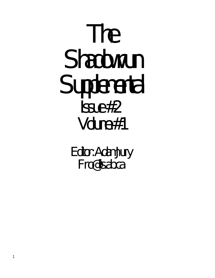# The Shadowrun Supplemental Issue #2 Volume #1

Editor: Adam Jury Fro@lis.ab.ca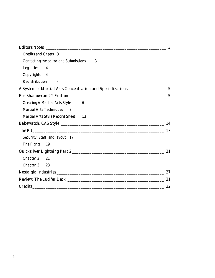|                                                   | 3                |
|---------------------------------------------------|------------------|
| <b>Credits and Greets 3</b>                       |                  |
| <b>Contacting the editor and Submissions</b><br>3 |                  |
| Legalities<br>4                                   |                  |
| Copyrights 4                                      |                  |
| Redistribution<br>4                               |                  |
|                                                   |                  |
|                                                   | $\boldsymbol{5}$ |
| <b>Creating A Martial Arts Style</b><br>6         |                  |
| <b>Martial Arts Techniques</b><br>$\overline{7}$  |                  |
| <b>Martial Arts Style Record Sheet</b><br>13      |                  |
|                                                   | 14               |
| <b>The Pit</b>                                    | 17               |
| Security, Staff, and layout 17                    |                  |
| The Fights<br>- 19                                |                  |
|                                                   | 21               |
| Chapter 2 21                                      |                  |
| Chapter 3 23                                      |                  |
|                                                   | 27               |
|                                                   | 31               |
| <b>Credits</b>                                    | 32               |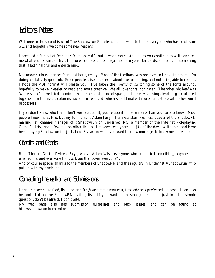# Editors Notes

Welcome to the second issue of The Shadowrun Supplemental. I want to thank everyone who has read issue #1, and hopefully welcome some new readers.

I received a fair bit of feedback from issue #1, but, I want more! As long as you continue to write and tell me what you like and dislike, I'm sure I can keep the magazine up to your standards, and provide something that is both helpful and entertaining.

Not many serious changes from last issue, really. Most of the feedback was positive, so I have to assume I'm doing a relatively good job. Some people raised concerns about the formatting, and not being able to read it. I hope the PDF format will please you. I've taken the liberty of switching some of the fonts around, hopefully to make it easier to read and more creative. We all love fonts, don't we? The other big beef was 'white space'. I've tried to minimize the amount of dead space, but otherwise things tend to get cluttered together. In this issue, columns have been removed, which should make it more compatible with other word processors.

If you don't know who I am, don't worry about it, you're about to learn more than you care to know. Most people know me as Fro, but my full name is Adam Jury. I am Assistant Fearless Leader of the ShadowRN mailing list, channel manager of #Shadowrun on Undernet IRC, a member of the Internet Roleplaying Game Society, and a few million other things. I'm seventeen years old (As of the day I write this) and have been playing Shadowrun for just about 3 years now. If you want to know more, get to know me better. : )

### Credits and Greets

Bull, Tinner, Gurth, Dvixen, Skye, Apryl, Adam Wise, everyone who submitted something, anyone that emailed me, and everyone I know. Does that cover everyone? : )

And of course special thanks to the members of ShadowRN and the regulars in Undernet #Shadowrun, who put up with my rambling.

### Contacting the editor and Submissions

I can be reached at fro@lis.ab.ca and fro@sara.mmlc.nwu.edu, first address preferred, please. I can also be contacted on the ShadowRN mailing list. If you want submission guidelines or just to ask a simple question, don't be afraid, I don't bite.

My web page also has submission guidelines and back issues, and can be found at http://shadowrun.home.ml.org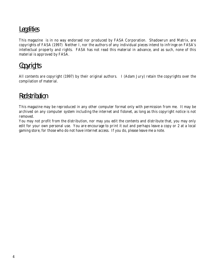## **Legalities**

This magazine is in no way endorsed nor produced by FASA Corporation. Shadowrun and Matrix, are copyrights of FASA (1997) Neither I, nor the authors of any individual pieces intend to infringe on FASA's intellectual property and rights. FASA has not read this material in advance, and as such, none of this material is approved by FASA.

### **Copyrights**

All contents are copyright (1997) by their original authors. I (Adam Jury) retain the copyrights over the compilation of material.

### Redistribution

This magazine may be reproduced in any other computer format only with permission from me. It may be archived on any computer system including the internet and fidonet, as long as this copyright notice is not removed.

You may not profit from the distribution, nor may you edit the contents and distribute that, you may only edit for your own personal use. You are encourage to print it out and perhaps leave a copy or 2 at a local gaming store, for those who do not have internet access. If you do, please leave me a note.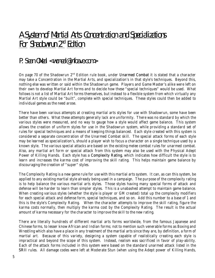# A System of Martial Arts Concentration and Specializations For Shadowrun 2<sup>nd</sup> Edition

### P. Sean ONeal <woneal@infoave.com>

On page 70 of the Shadowrun 2<sup>nd</sup> Edition rule book, under Unarmed Combat it is stated that a character may take a Concentration in the Martial Arts, and specialization's in that style's techniques. Beyond this, nothing else was written or said within the Shadowrun game. Players and Game Master's alike were left on their own to develop Martial Art forms and to decide how these "special techniques" would be used. What follows is not a list of Martial Art forms themselves, but instead to a flexible system from which virtually any Martial Art style could be "built", complete with special techniques. These styles could then be added to individual games as the need arose.

There have been various attempts at creating martial arts styles for use with Shadowrun, some have been better than others. What these attempts generally lack are uniformity. There was no standard by which the various styles were measured, and no way to gauge how a style would affect game balance. This system allows the creation of uniform styles for use in the Shadowrun system, while providing a standard set of rules for special techniques and a means of keeping things balanced. Each style created with this system is considered a separate concentration of the Unarmed Combat skill. The special attack forms of each style may be learned as specialization's, should a player wish to focus a character on a single technique used by a known style. The various special attacks are based on the existing melee combat rules for unarmed combat. Also, any martial art form or special attack from this system may also be used with the Physical Adept Power of *Killing Hands*. Each style has a Complexity Rating, which indicates how difficult the style is to learn and increases the karma cost of improving the skill rating. This helps maintain game balance by discouraging the creation of "super" styles.

The Complexity Rating is a new game rule for use with this martial arts system. It can, as can this system, be applied to any existing martial style already being used in a campaign. The purpose of the complexity rating is to help balance the various martial arts styles. Those styles having many special forms of attack and defense will be harder to learn than simpler styles. This is a unabashed attempt to maintain game balance. When creating various styles (whether the style is player or GM created) total up the complexity modifiers for each special attack and defense form, special techniques, and so on. Add this number to a base of 1 and this is the style's Complexity Rating. When the character attempts to improve the skill rating, figure the karma costs normally, then multiply the karma cost by the Complexity Rating. The result is the actual amount of karma necessary for the character to improve the skill to the new rating.

There are literally hundreds of different martial arts forms worldwide, from the famous Japanese and Chinese forms, to lesser know African and Indian forms; not to mention such venerable forms as Boxing and Wrestling which also have a place in any treatment of the martial arts since they are, by definition, a form of martial art. Because of this variety, designing a system capable of realistically creating each style is impractical and beyond the scope of this system. Instead, realism was sacrificed in favor of play-ability. Each of the attack forms included in this system were based on the standard unarmed attack listed in the SRII rules. All damage codes were left at Moderate Stun (when using the Adept power of Killing Hands,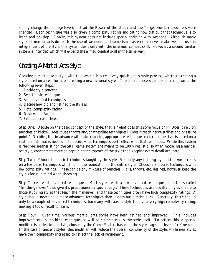simply change the damage level), instead the Power of the attack and the Target Number modifiers were changed. Each technique was also given a complexity rating, indicating how difficult that technique is to learn and develop. Finally, this system does not include special training with weapons. Although many styles of martial arts do teach the use of weapons, and some (such as escrima) even make weapon use an integral part of the style, this system deals only with the unarmed combat skill. However, a second similar system is intended which will expand the armed combat skill in the same way.

### Creating A Martial Arts Style

Creating a martial arts style with this system is a relatively quick and simple process, whether creating a style based on a real form, or creating a new fictional style. The entire process can be broken down to the following seven steps:

- 1. Decide style concept
- 2. Select basic techniques
- 3. Add advanced techniques
- 4. Decide how old and refined the style is.
- 5. Total complexity rating
- 6. Review and Adjust
- 7. Fill out record sheet

**Step One**: Decide on the basic concept of the style, that is "what does this style focus on?" Does it rely on punches or kicks? Does it use throws and/or wrestling techniques? Does it teach nerve strikes and pressure points? Deciding this in advance will make choosing appropriate techniques easier. If the style is based on a real form all that is needed is to decide what techniques best reflect what that form does. While this system is flexible, neither it nor the SRII game system are meant to be 100% realistic, so when modeling a martial art style, concentrate more on capturing the essence of the style than keeping every detail accurate.

*Step Two*: Choose the basic techniques taught by the style. Virtually any fighting style in the world relies on a few basic techniques which form the foundation of the entire style. Choose a 2-5 basic techniques with low complexity ratings. These can be any mixture of punches, kicks, throws, etc. desired, however keep the style's focus in mind when choosing.

*Step Three*: Add advanced techniques. Most styles teach a few advanced techniques, sometimes called "finishing moves" that give it's practitioners a special edge. These techniques are usually only available to those studying styles that teach the maneuver, and these techniques often have high complexity ratings. A style should never have more advanced techniques than it does basic techniques. Generally, there should only be a couple of advanced techniques, too many will cause a style to have a very high complexity rating, making it too difficult to learn.

*Step Four*: Over time, various martial arts styles have been refined and improved. This includes improvements in teaching techniques as well as refinements in the style itself. To reflect this, a special modifier is added to the style, chosen by the Game Master, based on the style's age and level of refinement. In the case of ancient styles, this modifier will reduce the overall complexity of the style, while new styles have their complexity increased to reflect the lack of refinement.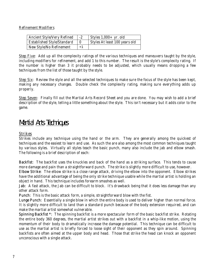Refinement Modifiers

| <b>Ancient Style/Very Refined</b> |      | Styles $1,000+$ yr. old       |
|-----------------------------------|------|-------------------------------|
| <b>Established Style/Standard</b> |      | Styles At least 100 years old |
| New Style/No Refinement           | $+1$ |                               |

**Step Five**: Add up all the complexity ratings of the various techniques and maneuvers taught by the style, including modifiers for refinement, and add 1 to this number. The result is the style's complexity rating. If the number is higher than 3 it probably needs to be adjusted, which usually means dropping a few techniques from the list of those taught by the style.

*Step Six*: Review the style and all the selected techniques to make sure the focus of the style has been kept, making any necessary changes. Double check the complexity rating, making sure everything adds up properly.

*Step Seven*: Finally fill out the Martial Arts Record Sheet and you are done. You may wish to add a brief description of the style, telling a little something about the style. This isn't necessary but it adds color to the game.

### Martial Arts Techniques

#### *Strikes*

Strikes include any technique using the hand or the arm. They are generally among the quickest of techniques and the easiest to learn and use. As such the are also among the most common techniques taught by various styles. Virtually all styles teach the basic punch, many also include the jab and elbow smash. The following is a brief description of each:

Backfist: The backfist uses the knuckles and back of the hand as a striking surface. This tends to cause more damage and pain than a straightforward punch. The strike is slightly more difficult to use, however. Elbow Strike: The elbow strike is a close range attack, driving the elbow into the opponent. Elbow strikes have the additional advantage of being the only strike technique usable while the martial artist is holding an object in hand. This technique includes forearm smashes as well.

Jab: A fast attack, the Jab can be difficult to block. It's drawback being that it does less damage than any other attack form.

Punch: This is the basic attack form, a simple, straightforward blow with the fist.

Lunge Punch: Essentially a single blow in which the entire body is used to deliver higher than normal force. It is slightly more difficult to land than a standard punch because of the body extension required, and can make the martial artist somewhat vulnerable.

Spinning Backfist \*: The spinning backfist is a more spectacular form of the basic backfist strike. Rotating the entire body 360 degrees, the martial artist strikes out with a backfist in a whip-like motion, using the momentum of their body to dramatically increase the damage potential. This technique can be difficult to use as the martial artist is briefly forced to loose sight of their opponent as they spin around. Spinning backfists are often aimed at the upper body and head. Those that strike the head can knock an opponent unconscious with a single attack.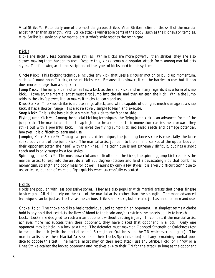Vital Strike \*: Potentially one of the most dangerous strikes, Vital Strikes relies on the skill of the martial artist rather than strength. Vital Strike attacks vulnerable parts of the body, such as the kidneys or temples. Vital Strike is usable only by martial artist who's style teaches the technique.

#### *Kicks*

Kicks are slightly less common than strikes. While kicks are more powerful than strikes, they are also slower making them harder to use. Despite this, kicks remain a popular attack form among martial arts styles. The following are the descriptions of the types of kicks used in this system:

Circle Kick: This kicking technique includes any kick that uses a circular motion to build up momentum, such as "round-house" kicks, crescent kicks, etc. Because it is slower, it can be harder to use, but it also does more damage than a snap kick.

Jump Kick: The jump kick is often as fast a kick as the snap kick, and in many regards it is a form of snap kick. However, the martial artist must first jump into the air and then unleash the kick. While the jump adds to the kick's power, it also makes it tricky to learn and use.

Knee Strike: The knee strike is a close range attack, and while capable of doing as much damage as a snap kick, it has a shorter range. It is also relatively simple to learn and execute.

Snap Kick: This is the basic kick, a simple, fast kick to the front or side.

Flying Jump Kick \*: Among the special kicking techniques, the flying jump kick is an advanced form of the jump kick. The martial artist must leap high into the air, and as their momentum carries them forward they strike out with a powerful kick. This gives the flying jump kick increased reach and damage potential, however, it is difficult to learn and use.

Jumping Knee Strike \*: Though a specialized technique, the jumping knee strike is essentially the knee strike equivalent of the jump kick. The marital artist jumps into the air and strikes at the upper body of their opponent (often the head) with their knee. The technique is not extremely difficult, but has a short reach and is only taught by a few styles.

Spinning Jump Kick \*: The most powerful and difficult of all the kicks, the spinning jump kick requires the martial artist to leap into the air, do a full 360 degree rotation and land a devastating kick that combines momentum, strength and body mass for power. Taught by only a few styles, it is a very difficult technique to use or learn, but can often end a fight quickly when successfully executed.

#### *Holds*

Holds are popular with less aggressive styles. They are also popular with martial artists that prefer finesse to strength. All Holds rely on the skill of the martial artist rather than the strength. The more advanced techniques can be just as effective as the various strikes and kicks, but are also just as hard to learn and use.

Choke Hold: The choke hold is a basic technique used to restrain an opponent. In simplest terms a choke hold is any hold that restricts the flow of blood to the brain and/or restricts the targets ability to breath.

Lock: Locks are designed to restrain an opponent without causing injury. In combat, if the martial artist achieves more net success than their opponent, they have placed that opponent in a lock. Only one opponent may be held in a lock at a time. The defender must make an Opposed Strength or Quickness test to escape the lock (with the martial artist's Strength or Quickness as the TN whichever is higher). The martial artist uses their Martial Arts skill (or their Locks Specialization) and any remaining combat pool dice to oppose this test. The martial artist may on their next attack use any Strike, Hold, or Throw or a Knee Strike against the locked opponent and receives a -4 to their TN for the attack so long as the opponent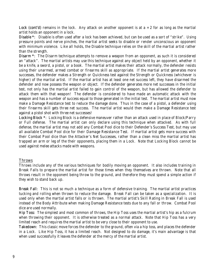Lock (cont'd) remains in the lock. Any attack on another opponent is at  $a + 2$  for as long as the martial artist holds an opponent in a lock.

Disable \*: Disable is often used after a lock has been achieved, but can be used as a sort of "strike". Using pressure points and nerve pinches, the martial artist seeks to disable or render unconscious an opponent with minimum violence. Like all holds, the Disable technique relies on the skill of the martial artist rather than the strength.

Disarm \*: The Disarm technique attempts to remove a weapon from an opponent, as such it is considered an "attack". The martial artists may use this technique against any object held by an opponent, whether it be a knife, a sword, a pistol, or a book. The martial artist makes their attack normally, the defender resists using their unarmed, armed combat or firearms skill as appropriate. If the martial artist generates more successes, the defender makes a Strength or Quickness test against the Strength or Quickness (whichever is higher) of the martial artist. If the martial artist has at least one net success left, they have disarmed the defender and now possess the weapon or object. If the defender generates more net successes in the initial test, not only has the martial artist failed to gain control of the weapon, but has allowed the defender to attack them with that weapon! The defender is considered to have made an automatic attack with the weapon and has a number of success equal to those generated in the initial test. The martial artist must now make a Damage Resistance test to reduce the damage done. Thus in the case of a pistol, a defender using their firearms skill gets three net success. The martial artist would then make a Damage Resistance test against a pistol shot with three net successes!

Locking Block \*: Locking Block is a defensive maneuver rather than an attack used in place of Block/Parry or Full defense. The martial artist can only declare using this technique when attacked. As with full defense, the martial artist may not add any Combat Pool dice to their *Defender's Success Test*, but may use all available Combat Pool dice for their *Damage Resistance Test*. If martial artist gets more success with their Combat Pool dice than the Attacker's Net Successes, rather than a clean miss the martial artist has trapped an arm or leg of the their opponents, placing them in a Lock. Note that Locking Block cannot be used against melee attacks made with weapons.

#### *Throws*

Throws include any of the various techniques for bodily moving an opponent. It also includes training in Break Falls to prepare the martial artist for those times when they themselves are thrown. Note that all throws result in the opponent being throw to the ground, and therefore they must spend a simple action if they wish to stand back up.

Break Fall: This is not so much a technique as a form of defensive training. The martial artist practices tucking and rolling when thrown to reduce the damage. Break Fall can be taken as a specialization. It is used only when the martial artist falls or is thrown. The martial artist's Skill Rating in Break Fall is used instead of the Body Attribute when making Damage Resistance tests due to any fall or throw. Combat Pool dice are used normally.

Hip Toss: The simplest and most common of throws, the Hip Toss uses the martial artist's hip as a fulcrum when throwing their opponent. It is otherwise treated as a normal attack. Note that Hip Toss has a very limited reach and requires the martial artist to be very close to their opponent to use.

Takedown: This classic move forces the defender to the ground, often via a hip toss, and places the defender in a Lock. Like Hip Toss, it has a limited reach. Not designed to do damage, it's main advantage is that when used successfully it leaves the defender at the mercy of the martial artist.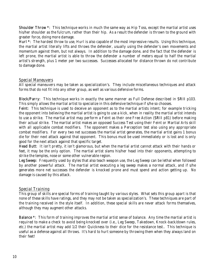Shoulder Throw \*: This technique works in much the same way as Hip Toss, except the martial artist uses his/her shoulder as the fulcrum, rather than their hip. As a result the defender is thrown to the ground with greater force, doing more damage.

Hurl \*: The hardest throw to use, Hurl is also capable of the most impressive results. Using this technique, the martial artist literally lifts and throws the defender, usually using the defender's own movements and momentum against them, but not always. In addition to the damage done, and the fact that the defender is left prone, the martial artist is able to throw the defender a number of meters equal to half the martial artist's strength, plus 1 meter per two successes. Successes allocated for distance thrown do not contribute to damage done.

#### *Special Maneuvers*

All special maneuvers may be taken as specialization's. They include miscellaneous techniques and attack forms that do not fit into any other group, as well as various defensive forms.

Block/Parry: This technique works in exactly the same manner as Full Defense described in SRII p103. This simply allows the martial artist to specialize in this defensive technique if s/he so chooses.

Feint: This technique is used to deceive an opponent as to the martial artists intent; for example tricking the opponent into believing the martial artist is going to use a kick, when in reality the martial artist intends to use a strike. The martial artist may perform a Feint as their one Free Action (SRII p81) before making their actual strike. The martial artist makes an opposed Success Test using their Feint or Martial Arts skill with all applicable combat modifiers. The opponent makes a Perception test also using any appropriate combat modifiers. For every two net successes the martial artist generates, the martial artist gains 1 bonus die for their next attack against that opponent. This bonus must be used immediately or is lost and is only good for the next attack against that specific target.

Head Butt: It isn't pretty, it isn't glamorous, but when the martial artist cannot attack with their hands or feet, it may be the only option. The martial artist slams his/her head into their opponents, attempting to strike the temples, nose or some other vulnerable region.

Leg Sweep: Frequently used by styles that also teach weapon use, the Leg Sweep can be lethal when followed by another powerful attack. The martial artist executing a leg sweep makes a normal attack, and if s/he generates more net successes the defender is knocked prone and must spend and action getting up. No damage is caused by this attack.

#### *Special Training*

This group of skills are special forms of training taught by various styles. What sets this group apart is that none of these skills have ratings, and they may not be taken as specialization's. These techniques are part of the training received in the style itself. In addition, these special skills are never attack forms themselves, although they may augment other attacks.

Balance \*: This form of training improves the martial artist sense of balance. Any time the martial artist is required to make a check to avoid being knocked over (i.e., Leg Sweep, Takedown, Knock-back/down rules, etc.) the martial artist may add 1/2 their Quickness to their dice for the resistance test.. This technique is useful as a defense against all throws. It's hard to hurt someone by throwing them when they always land on their feet!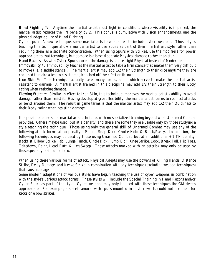Blind Fighting \*: Anytime the martial artist must fight in conditions where visibility is impaired, the martial artist reduces the TN penalty by 2. This bonus is cumulative with vision enhancements, and the physical adept ability of Blind Fighting.

Cyber spur: A new technique, some martial arts have adapted to include cyber weapons. Those styles teaching this technique allow a martial artist to use Spurs as part of their martial art style rather than requiring them as a separate concentration. When using Spurs with Strikes, use the modifiers for power appropriate to that technique, but damage is a base Moderate Physical damage rather than stun.

Hand Razors: As with Cyber Spurs, except the damage is a base Light Physical instead of Moderate.

Immovability \*: Immovability teaches the martial artist to take a firm stance that makes them very difficult to move (i.e. a saddle stance). The martial artist may add 1/2 their Strength to their dice anytime they are required to make a test to resist being knocked off their feet or thrown.

Iron Skin \*: This technique actually takes many forms, all of which serve to make the martial artist resistant to damage. A martial artist trained in this discipline may add 1/2 their Strength to their Body rating when resisting damage.

Flowing Water \*: Similar in effect to Iron Skin, this technique improves the martial artist's ability to avoid damage rather than resist it. Having developed great flexibility, the martial artist learns to redirect attacks or bend around them. The result in game terms is that the martial artist may add 1/2 their Quickness to their Body rating when resisting damage.

It is possible to use some martial arts techniques with no specialized training beyond what Unarmed Combat provides. Others maybe used, but at a penalty, and there are some they are usable only by those studying a style teaching the technique. Those using only the general skill of Unarmed Combat may use any of the following attack forms at no penalty: Punch, Snap Kick, Choke Hold & Block/Parry. In addition, the following techniques may be used by those using Unarmed Combat, but at an additional  $+1$  TN penalty: Backfist, Elbow Strike, Jab, Lunge Punch, Circle Kick, Jump Kick, Knee Strike, Lock, Break Fall, Hip Toss, Takedown, Feint, Head Butt, & Leg Sweep. Those attacks marked with an asterisk may only be used by those specially trained to do so.

When using these various forms of attack, Physical Adepts may use the powers of Killing Hands, Distance Strike, Delay Damage, and Nerve Strike in combination with any technique (excluding weapon techniques) that cause damage.

Some modern adaptations of various styles have begun teaching the use of cyber weapons in combination with the style's various attack forms. These styles will include the Special Training in Hand Razors and/or Cyber Spurs as part of the style. Cyber weapons may only be used with those techniques the GM deems appropriate. For example, a street samurai with spurs mounted in his/her wrists could not use them for kicks or elbow strikes.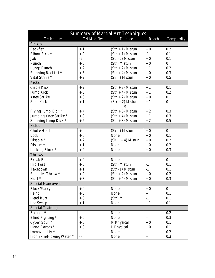| <b>Summary of Martial Art Techniques</b> |                    |                      |        |                  |  |  |  |  |  |
|------------------------------------------|--------------------|----------------------|--------|------------------|--|--|--|--|--|
| Technique                                | <b>TN</b> Modifier | Damage               | Reach  | Complexity       |  |  |  |  |  |
| <b>Strikes</b>                           |                    |                      |        |                  |  |  |  |  |  |
| <b>Backfist</b>                          | $+1$               | $(Str + 1)$ M stun   | $+0$   | 0.2              |  |  |  |  |  |
| <b>Elbow Strike</b>                      | $+0$               | $(Str + 1)$ M stun   | $-1$   | 0.1              |  |  |  |  |  |
| Jab                                      | $-2$               | $(Str -2)$ M stun    | $+0$   | 0.1              |  |  |  |  |  |
| Punch                                    | $+0$               | (Str) M stun         | $+0$   | $\overline{0}$   |  |  |  |  |  |
| Lunge Punch                              | $+2$               | $(Str + 2)$ M stun   | $+1$   | 0.2              |  |  |  |  |  |
| Spinning Backfist*                       | $+3$               | $(Str + 4)$ M stun   | $+0$   | 0.3              |  |  |  |  |  |
| Vital Strike <sup>*</sup>                | $+2$               | (Skill) M stun       | $+0$   | 0.5              |  |  |  |  |  |
| <b>Kicks</b>                             |                    |                      |        |                  |  |  |  |  |  |
| Circle Kick                              | $+2$               | $(Str + 3)$ M stun   | $+1$   | 0.1              |  |  |  |  |  |
| <b>Jump Kick</b>                         | $+3$               | $(Str + 4)$ M stun   | $+1$   | 0.2              |  |  |  |  |  |
| <b>Knee Strike</b>                       | $+0$               | $(Str + 2)$ M stun   | $+0$   | 0.1              |  |  |  |  |  |
| Snap Kick                                | $+1$               | $(Str + 2)$ M stun   | $+1$   | $\boldsymbol{0}$ |  |  |  |  |  |
|                                          |                    | M                    |        |                  |  |  |  |  |  |
| Flying Jump Kick *                       | $+4$               | $(Str + 6)$ M stun   | $+2$   | 0.3              |  |  |  |  |  |
| Jumping Knee Strike *                    | $+3$               | $(Str + 4)$ M stun   | $+1$   | 0.3              |  |  |  |  |  |
| Spinning Jump Kick *                     | $+5$               | $(Str + 8)$ M stun   | $+2$   | 0.5              |  |  |  |  |  |
| Holds                                    |                    |                      |        |                  |  |  |  |  |  |
| <b>Choke Hold</b>                        | $+0$               | (Skill) M stun       | $+0$   | $\bf{0}$         |  |  |  |  |  |
| Lock                                     | $+0$               | None                 | $+0$   | 0.1              |  |  |  |  |  |
| Disable *                                | $+2$               | $(Skill + 4)$ M stun | $+0$   | 0.2              |  |  |  |  |  |
| Disarm <sup>*</sup>                      | $+1$               | None                 | $+0$   | 0.2              |  |  |  |  |  |
| Locking Block *                          | $+2$               | None                 | $+0$   | 0.3              |  |  |  |  |  |
| <b>Throws</b>                            |                    |                      |        |                  |  |  |  |  |  |
| <b>Break Fall</b>                        | $+0$               | None                 | $-$    | $\bf{0}$         |  |  |  |  |  |
| <b>Hip Toss</b>                          | $+0$               | (Str) M stun         | $-1$   | 0.1              |  |  |  |  |  |
| Takedown                                 | $+1$               | $(Str -1)$ M stun    | $-1$   | 0.1              |  |  |  |  |  |
| Shoulder Throw <sup>*</sup>              | $+2$               | $(Str + 2)$ M stun   | $+0$   | 0.2              |  |  |  |  |  |
| Hurl <sup>*</sup>                        | $+3$               | $(Str + 4)$ M stun   | $+0$   | 0.3              |  |  |  |  |  |
| <b>Special Maneuvers</b>                 |                    |                      |        |                  |  |  |  |  |  |
| <b>Block/Parry</b>                       | $+0$               | None                 | $+0$   | $\boldsymbol{0}$ |  |  |  |  |  |
| Feint                                    | $+0$               | None                 |        | 0.1              |  |  |  |  |  |
| <b>Head Butt</b>                         | $+0$               | (Str) M              | $-1$   | 0.1              |  |  |  |  |  |
| <b>Leg Sweep</b>                         | $+1$               | None                 | $+1$   | 0.1              |  |  |  |  |  |
| <b>Special Training</b>                  |                    |                      |        |                  |  |  |  |  |  |
| Balance *                                | --                 | None                 | $- -$  | 0.2              |  |  |  |  |  |
| Blind Fighting *                         | $+0$               | None                 | $-\,-$ | 0.3              |  |  |  |  |  |
| Cyber Spur $*$                           | $+0$               | M Physical           | $+0$   | 0.1              |  |  |  |  |  |
| Hand Razors *                            | $+0$               | L Physical           | $+0$   | 0.1              |  |  |  |  |  |
| Immovability *                           | --                 | None                 | $-$    | 0.2              |  |  |  |  |  |
| Iron Skin/Flowing Water *                | --                 | None                 | --     | 0.3              |  |  |  |  |  |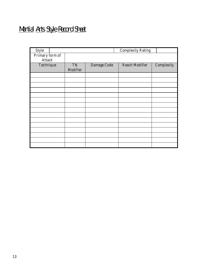# Martial Arts Style Record Sheet

| <b>Style</b>    |                |             | <b>Complexity Rating</b> |            |
|-----------------|----------------|-------------|--------------------------|------------|
| Primary form of |                |             |                          |            |
| Attack          |                |             |                          |            |
| Technique       | TN<br>Modifier | Damage Code | Reach Modifier           | Complexity |
|                 |                |             |                          |            |
|                 |                |             |                          |            |
|                 |                |             |                          |            |
|                 |                |             |                          |            |
|                 |                |             |                          |            |
|                 |                |             |                          |            |
|                 |                |             |                          |            |
|                 |                |             |                          |            |
|                 |                |             |                          |            |
|                 |                |             |                          |            |
|                 |                |             |                          |            |
|                 |                |             |                          |            |
|                 |                |             |                          |            |
|                 |                |             |                          |            |
|                 |                |             |                          |            |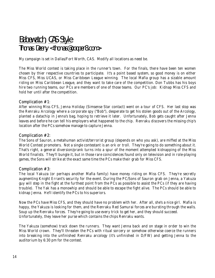# Babewatch, CAS Style Thomas Deeny <thomas@cooper8.com>

My campaign is set in Dallas/Fort Worth, CAS. Modify all locations as need be.

The Miss World contest is taking place in the runner's town. For the finals, there have been ten women chosen by thier respective countries to participate. It's a point based system, so good money is on either Miss CFS, Miss UCAS, or Miss Caribbean League winning. The local Mafia group has a sizable amount riding on Miss Caribbean League, and they want to take care of the competition. Don Tubbs has his boys hire two running teams, our PCs are members of one of those teams. Our PC's job: Kidnap Miss CFS and hold her until after the competition.

#### Complication #1:

After winning Miss CFS, Jenna Holiday (Simsense Star contact) went on a tour of CFS. Her last stop was the Renraku Arcology where a corporate spy ("Bob"), desperate to get his stolen goods out of the Arcology, planted a datachip in Jenna's bag, hoping to retrieve it later. Unfortunately, Bob gets caught after Jenna leaves and before he can tell his employers what happened to the chip. Renraku discovers the missing chip's location after the PCs somehow manage to capture Jenna.

#### Complication #2:

The Sons of Sauron, a metahuman activist/terrorist group (depends on who you ask), are miffed at the Miss World Contest promoters. Not a single contestant is an ork or troll. They're going to do something about it. That's right, a general diversion/prank turns into a spur of the moment attempted kidnapping of the Miss World finalists. They'll bungle it, but in those rare coincidences found only on television and in role-playing games, the Sons will strike at the exact same time the PCs make their grab for Miss CFS.

#### Complication #3:

The local Yakuza (or perhaps another Mafia family) have money riding on Miss CFS. They're secretly augmenting Knight Errant's security for the event. During the PC/Sons of Sauron grab on Jenna, a Yakuza guy will step in the fight at the furthest point from the PCs as possible to assist the PCs (if they are having trouble). The Yak has a monowhip and should be able to escape the fight alive. The PCs should be able to kidnap Jenna. He'll identify the PCs to his superiors.

Now the PCs have Miss CFS, and they should have no problem with her. After all, she's a nice girl. Mafia is happy, the Yakuza is looking for them, and the Renraku Red Samurai forces are bursting through the walls. Soup up the Renraku forces. They're going to use every trick to get her, and they should succeed. Unfortunately, they leave her purse which contains the chips Renraku wants.

The Yakuza (somehow) track down the runners. They want Jenna back and on stage in order to win the Miss World crown. They'll threaten the PCs with ritual sorcery or somehow otherwise coerce the runners into breaking into the unfinished Renraku arcology (it's unfinished in D/FW) and getting Jenna to the auditorium by 6:30 pm for the contest.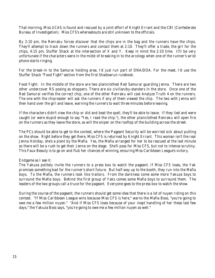That morning, Miss UCAS is found and rescued by a joint effort of Knight Errant and the CBI (Confederate Bureau of Investigation). Miss CFS's whereabouts are still unknown to the officials.

By 2:10 pm, the Renraku forces discover that the chips are in the bag and the runners have the chips. They'll attempt to track down the runners and contact them at 2:10. They'll offer a trade, the girl for the chips, 4:15 pm, Stuffer Shack at the intersection of X and Y. Keep in mind the 2:10 time. It'll be very unfortunate if the characters were in the midst of breaking in to the arcology when one of the runner's wrist phone starts ringing.

For the break-in to the Samurai holding area, I'd just run part of DNA/DOA. For the meet, I'd use the Stuffer Shack "Food Fight" section from the first Shadowrun rulebook.

Food Fight: In the middle of the store are two plainclothed Red Samurai guarding Jenna. There are two other undercover RS posing as shoppers. There are six civilian/by-standers in the store. Once one of the Red Samurai verifies the correct chip, one of the other Renraku will cast Analyze Truth 4 on the runners. The one with the chipreader will ask the runners if any of them viewed the chip. The two with Jenna will then hand over the girl and leave, warning the runners to wait three minutes before leaving.

If the characters didn't view the chip or did and beat the spell, they'll be able to leave. If they lied and were caught (or were stupid enough to say "Yes, I read the chip."), the other plainclothed Renraku will open fire on the runners as they leave the store, as will the sniper on the rooftop of the building across the street.

The PCs should be able to get to the contest, where the Pageant Security will be worried sick about putting on the show. Right before they get there, Miss CFS is returned by Knight Errant. This woman isn't the real Jenna Holiday, she's a plant by the Mafia. Yes, the Mafia arranged for her to be rescued at the last minute so there will be a rush to get their Jenna on the stage. She'll pass for Miss CFS, but not to intense scrutiny. This Faux Beauty is to go on and flub her chances of winning, ensuring Miss Caribbean League's victory.

#### Endgame as I see it:

The Yakuza politely invite the runners to a press box to watch the pageant. If Miss CFS loses, the Yak promises something bad for the runner's short future. But half-way up to the booth, they run into the Mafia boys. To the Mafia, the runners look like traitors. From the darkness come some more Yakuza boys to surround the Mafia boys. Behind the first group of Yaks comes some Mafia boys to surround them. The leaders of the two groups call a truce for the pageant. Everyone goes to the press box to watch the show.

During the course of the pageant, the runners should get some idea that there is a lot of nuyen riding on this contest. "If Miss Caribbean League wins because Miss CFS is here," warns the Mafia Boss, "you're going to owe me a few million nuyen." "And if Miss CFS loses because of your inept handling of her these last few days," the Yakuza Boss says, "you're going to owe me a few million nuyen as well."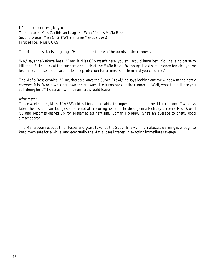#### It's a close contest, boy-o. *Third place*: Miss Caribbean League ("What?" cries Mafia Boss) *Second place*: Miss CFS ("What?" cries Yakuza Boss) *First place*: Miss UCAS.

The Mafia boss starts laughing. "Ha, ha, ha. Kill them," he points at the runners.

"No," says the Yakuza boss. "Even if Miss CFS wasn't here, you still would have lost. You have no cause to kill them." He looks at the runners and back at the Mafia Boss. "Although I lost some money tonight, you've lost more. These people are under my protection for a time. Kill them and you cross me."

The Mafia Boss exhales. "Fine, there's always the Super Brawl," he says looking out the window at the newly crowned Miss World walking down the runway. He turns back at the runners. "Well, what the hell are you still doing here?" he screams. The runners should leave.

#### Aftermath:

Three weeks later, Miss UCAS/World is kidnapped while in Imperial Japan and held for ransom. Two days later, the rescue team bungles an attempt at rescueing her and she dies. Jenna Holiday becomes Miss World '56 and becomes geared up for MegaMedia's new sim, Roman Holiday. She's an average to pretty good simsense star.

The Mafia soon recoups thier losses and gears towards the Super Brawl. The Yakuza's warning is enough to keep them safe for a while, and eventually the Mafia loses interest in exacting immediate revenge.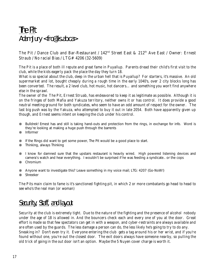# The Pit Adam Jury <fro@lis.ab.ca>

The Pit / Dance Club and Bar-Restaurant / 142<sup>nd</sup> Street East & 212<sup>th</sup> Ave East / Owner: Ernest Straub / No racial Bias / LTG# 4206 (32-5609)

The Pit is a place of both ill repute and great fame in Puyallup. Parents dread their child's first visit to the club, while the kids eagerly pack the place the day they turn 18.

What is so special about the club, deep in the urban hell that is Puyallup? For starters, it's massive. An old supermarket and lot, bought cheaply during a rough time in the early 1040's, over 2 city blocks long has been converted. The result, a 2 level club, hot music, hot dancers… and something you won't find anywhere else in the sprawl.

The owner of the The Pit, Ernest Struab, has endeavored to keep it as legitimate as possible. Although it is on the fringes of both Mafia and Yakuza territory, neither owns it or has control. It does provide a good neutral meeting ground for both syndicates, who seem to have an odd amount of respect for the owner. The last big push was by the Yakuza, who attempted to buy it out in late 2054. Both have apparently given up though, and Ernest seems intent on keeping the club under his control.

- ⊗ Bulldrek! Ernest has and still is taking hand-outs and protection from the rings, in exchange for info. Word is they're looking at making a huge push through the barrents
- ⊗ Informer
- ⊗ If the Rings did want to get some power, The Pit would be a good place to start.
- ⊗ Thinking, always Thinking
- ⊗ I know for damned sure that the upstairs restaurant is heavily wired. High powered listening devices and camera's watch and hear everything. I wouldn't be surprised if he was feeding a syndicate.. or the cops
- ⊗ Chromium
- ⊗ Anyone want to investigate this? Leave something in my voice mail; LTG: 4207 (Go-NoW!)
- ⊗ Shreeker

The Pits main claim to fame is it's sanctioned fighting pit, in which 2 or more combatants go head to head to see who's the real man (or woman)

### Security, Staff, and layout

Security at the club is extremely tight. Due to the nature of the fighting and the presence of alcohol nobody under the age of 18 is allowed in. And the bouncers check each and every one of you at the door. Great effort is made so that few spectators can get in with a weapon, and cyber-restraints are always available and are often used by the guards. The less damage a person can do, the less likely he's going to try to do any. Sneaking in? Don't even try it. Everyone entering the club gets a tag around his or her wrist, and if you're found without one, you're out the closest door. The exit doors always have someone nearby, so pulling the old trick of going in the out door isn't an option. Maybe the 5 Nuyen cover charge is worth it.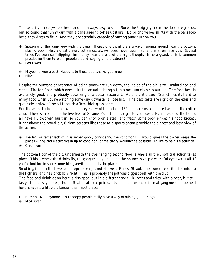The security is everywhere here, and not always easy to spot. Sure, the 3 big guys near the door are guards, but so could that funny guy with a cane sipping coffee upstairs. No bright yellow shirts with the bars logo here, they dress to fit in. And they are certainly capable of putting some hurt on you.

- ⊗ Speaking of the funny guy with the cane. There's one dwarf that's always hanging around near the bottom, playing pool. He's a great player, but almost always loses, never gets mad, and is a real nice guy. Several times I've seen staff slipping him money near the end of the night though. Is he a guard, or is it common practice for them to 'plant' people around, spying on the patrons?
- ⊗ Red Dwarf
- ⊗ Maybe he won a bet? Happens to those pool sharks, you know.
- ⊗ Blitzen

Despite the outward appearance of being somewhat run down, the inside of the pit is well maintained and clean. The top floor, which overlooks the actual fighting pit, is a medium class restaurant. The food here is extremely good, and probably deserving of a better resturant. As one critic said: "Sometimes its hard to enjoy food when you're watching some guy downstairs lose his." The best seats are right on the edge and give a clear view of the pit through a 3cm thick glass pane.

For those not fortunate to have a birds eye view of the action, 152 trid screens are placed around the entire club. These screens pipe the live feed of 8 camera's in the pit, right to your seat. Even upstairs, the tables all have a vid-screen built in, so you can chomp on a steak and watch some poor elf get his hoop kicked. Right above the actual pit, 8 giant screens like those at a sports arena provide the biggest and best view of the action.

- ⊗ The lag, or rather lack of it, is rather good, considering the conditions. I would guess the owner keeps the places wiring and electronics in tip to condition, or the clarity wouldn't be possible. I'd like to be his electrician.
- ⊗ Chromium

The bottom floor of the pit, underneath the overhanging second floor is where all the unofficial action takes place. This is where the drinks fly, the gangers play pool, and the bouncers keep a watchful eye over it all. If you're looking to score something, anything, this is the place to do it.

Smoking, in both the lower and upper areas, is not allowed. Ernest Straub, the owner, feels it is harmful to the fighters, and he's probably right. This is probably the patrons biggest beef with the club.

The food and drink down here is also good, but in a different style. Burgers and fries, with a beer, but still tasty. Its not soy either, chum. Real meat, real prices. Its common for more formal gang meets to be held here, since its a little bit fancier than most places.

⊗ Humph…Not anymore. You snoopy people really have a way of ruining good things.

⊗ McAllister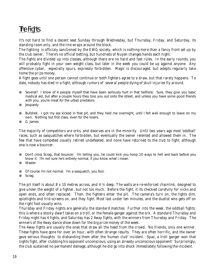# The Fights

It's not hard to find a decent seat Sunday through Wednesday, but Thursday, Friday, and Saturday, its standing room only, and the line wraps around the block.

The fighting is officialy sanctioned by the EWG society, which is nothing more than a fancy front set up by the club owner. There's no official betting, but hundreds of Nuyen changes hands each night.

The fights are divided up into classes, although there are no hard and fast rules. In the early rounds, you will probably fight in your own weight class, but later in the week you could be up against anyone. Any offensive cyber, especially spurs, expressly forbidden. Magic is discouraged, but adepts regularly take home the prize money.

A fight goes until one person cannot continue or both fighters agree to a draw, but that rarely happens. To date, nobody has died in a fight, although rumors of several people dying of skull injuries fly around.

- ⊗ Several? I know of 4 people myself that have been seriously hurt in that hellhole. Sure, they give you basic medical aid, but after a couple hours they toss you out onto the street, and unless you have some good friends with you, you're meat for the urban predators.
- ⊗ Jeopardy
- ⊗ Bulldrek. I got my ass kicked in that pit, and they held me overnight, until I felt well enough to leave on my own. Nothing but first class, even for the losers.
- ⊗ G. James

The majority of competitors are orks, and dwarves are in the minority. Until two years ago most 'oddball' races, such as sasquatches where forbidden, but eventually the owner relented and allowed them in. The few that have competed usually retired undefeated, and none have returned to the club to fight, although one is now a bouncer.

⊗ Don't cross Scrag, that bouncer. I'm telling you, he could kick you hoop 10 ways to hell and back before you know it. I'm not sure he's entirely normal, if you know what I mean.

- ⊗ Of course I'm not normal. I'm a sasquatch, you fool.
- ⊗ Scrag.

The pit itself is about 8 x 10 metres across, and 4  $\frac{1}{2}$  deep. The walls are re-enforced chainlink, designed to give under the weight of a fighter, but not too much. Before the fight, it its checked carefully for nicks and open ends, and often replaced. Then, the fighters enter the pit. The camera's turn on, the lights dim, splotlights and trid-screens on, and they fight. Most last under ten minutes, and the duelist who gets off on the right foot usually wins.

Thursday and Friday nights are generally the standard matches. Further into the week, the oddball fights; this is where a stocky dwarf takes on a troll, or the female ganger against the ork. A standard Thursday and Friday night has 4 fights, and Saturday has 2 4way fights, with the winners from Thursday and Friday. The winners of the 4way dance show down for the big prize money of the week.

The 4way fights are usually the ones that draw all the head from the crowd. No friends, only one winner. These fights have gone for over an hour, with often strange results. They are often horrific, and the owner gave serious thoughts to disbanding them after the 'human club' incident. Spaz, a troll ganger won that nights fight, after clubbing his opponent unconscious, using an already unconscious opponent! Surprisingly, the club sustained no permanent damage, although he did go into shock immediately following the incident.

<sup>⊗</sup> Waster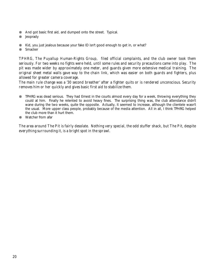- ⊗ And got basic first aid, and dumped onto the street. Typical.
- ⊗ Jeoprady
- ⊗ Kid, you just jealous because your fake ID isn't good enough to get in, or what?
- ⊗ Smacker

TPHRG, The Puyallup Human-Rights Group, filed official complaints, and the club owner took them seriously. For two weeks no fights were held, until some rules and security precautions came into play. The pit was made wider by approximately one meter, and guards given more extensive medical training. The original sheet metal walls gave way to the chain link, which was easier on both guards and fighters, plus allowed for greater camera coverage.

The main rule change was a '30 second breather' after a fighter quits or is rendered unconscious. Security removes him or her quickly and gives basic first aid to stabilize them.

- ⊗ TPHRG was dead serious. They had Ernest in the courts almost every day for a week, throwing everything they could at him. Finally he relented to avoid heavy fines. The surprising thing was, the club attendance didn't wane during the two weeks, quite the opposite. Actually, it seemed to increase, although the clientele wasn't the usual. More upper class people, probably because of the media attention. All in all, I think TPHRG helped the club more than it hurt them.
- ⊗ Watcher from afar

The area around The Pit is fairly desolate. Nothing very special, the odd stuffer shack, but The Pit, despite everything surrounding it, is a bright spot in the sprawl.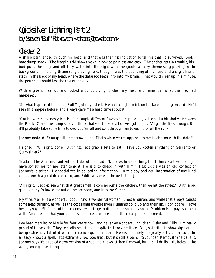# Quicksilver Lightning Part 2 by Steven "Bull" Ratkovich <chaos@ncweb.com>

### Chapter 2

A sharp pain lanced through my head, and that was the first indication to tell me that I'd survived. God, I hate dump shock. The fraggin' trid shows make it look so painless and easy. The decker gets in trouble, his bud pulls the plug, and off they waltz into the night with the goods, a jazzy theme song playing in the background. The only theme song playing here, though, was the pounding of my head and a slight hiss of static in the back of my head, where the datajack feeds info into my brain. That would clear up in a minute. the pounding would last the rest of the day.

With a groan, I sat up and looked around, trying to clear my head and remember what the frag had happened.

"So what happened this time, Bull?" Johnny asked. He had a slight smirk on his face, and I grimaced. He'd seen this happen before, and always gave me a hard time about it.

"Got hit with some nasty Black IC, a couple different flavors." I replied, my voice still a bit shaky. Between the Black IC and the dump shock, I think that was the worst I'd ever gotten hit. "Al got the files, though. But it'll probably take some time to decrypt 'em all and sort through 'em to get rid of all the junk."

Johnny nodded. "You got till tomorrow night. That's when we're supposed to meet Johnson with the data."

I sighed. "All right, done. But first, let's grab a bite to eat. Have you gotten anything on Serrento or Quicksilver?"

"Nada." The Amerind said with a shake of his head. "No one's heard a thing, but I think Fast Eddie might have something for me later tonight. He said to check in with him." Fast Eddie was an old contact of Johnny's, a snitch. He specialized in collecting information. In this day and age, information of any kind can be worth a great deal of cred, and Eddie was one of the best at his job.

"All right. Let's go see what that great smell is coming outta the kitchen, then we hit the street." With a big grin, Johnny followed me out of the rec room, and into the Kitchen.

My wife, Marie, is a wonderful cook. And a wonderful woman. She's a human, and while that always causes some head turning, as well as the occasional trouble from Humanis policlub and their ilk, I don't care. I love her anyways. She's one of the reasons I want to get outta this biz someday soon. Problem is, it pays so damn well! And the fact that your enemies don't seem to care about the concept of retirement.

I've been married to Marie for four years now, and have two wonderful children, Reba and Billy. I'm really proud of those kids. They're really smart, too, despite their ork heritage. Billy's starting to show signs of being extremely talented with electronic equipment, and Reba's definitely magically active. In fact, she already knows a spell. It's extremely low powered, but it's still a pain. "Suburban Removal" she calls it. Johnny says it's a tooled down version of a spell he knows, Urban Renewal, but it still drills little holes in the walls, among other things.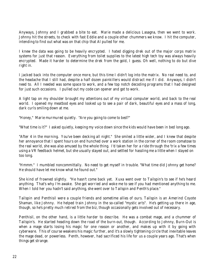Anyways, Johnny and I grabbed a bite to eat. Marie made a delicious Lasagna, then we went to work. Johnny hit the streets, to check with fast Eddie and a couple other chummers we know. I hit the computer, intending to find out what was on that chip that Al pulled for me.

I knew the data was going to be heavily encrypted. I hated digging drek out of the major corps matrix systems for just that reason. Everything from toilet supplies to the latest high tech toy was always heavily encrypted. Made it harder to determine the drek from the gold, I guess. Oh well, nothing to do but dive right in.

I jacked back into the computer once more, but this time I didn't log into the matrix. No real need to, and the headache that I still had, despite a half dozen painkillers would distract me if I did. Anyways, I didn't need to. All I needed was some space to work, and a few top notch decoding programs that I had designed for just such occasions. I pulled out my code can opener and got to work.

A light tap on my shoulder brought my attentions out of my virtual computer world, and back to the real world. I opened my meatbod eyes and looked up to see a pair of dark, beautiful eyes and a mass of long, dark curls smiling down at me.

"Honey," Marie murmured quietly. "Are you going to come to bed?"

"What time is it?" I asked quietly, keeping my voice down since the kids would have been in bed long ago.

"After 4 in the morning. You've been decking all night." She smiled a little wider, and I knew that despite her annoyance that I spent hours on end hunched over a work station in the corner of the room comatose to the real world, she was also amused by the whole thing. I'd taken her for a ride through the 'trix a few times using a VR feedback helmet, but she usually stayed out, and settled for hassling me a little when I stayed on too long.

"Hmmm." I mumbled noncommittally. No need to get myself in trouble. "What time did Johnny get home? He should have let me know what he found out."

She kind of frowned slightly. "He hasn't come back yet. Xuxa went over to Tailspin's to see if he's heard anything. That's why I'm awake. She got worried and woke me to see if you had mentioned anything to me. When I told her you hadn't said anything, she went over to Tailspin and Penth's place."

Tailspin and Penthisil were a couple friends and sometime allies of ours. Tailspin is an Amerind Coyote Shaman, like Johnny. He helped train Johnny in the so-called "mystic arts". He's getting up there in age, though, so he's pretty much retired from the biz, though occasionally gets involved out of necessary.

Penthisil, on the other hand, is a little harder to describe. He was a combat mage, and a chummer of Tailspin's. He started heading down the road of the burn-out, though. According to Johnny, Burn-Out is when a mage starts losing his magic for one reason or another, and makes up with it by going with cyberware. This of course weakens his magic further, and it's a slowly tightening circle that inevitable leaves the mage dead, or powerless. Penth, however, had sacrificed his life for us a couple years ago. That's when things get strange.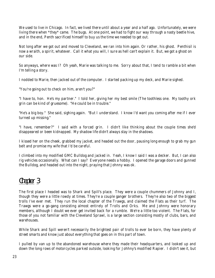We used to live in Chicago. In fact, we lived there until about a year and a half ago. Unfortunately, we were living there when \*they\* came. The bugs. At one point, we had to fight our way through a nasty beetle hive, and in the end, Penth sacrificed himself to buy us the time we needed to get out.

Not long after we got out and moved to Cleveland, we ran into him again. Or rather, his ghost. Penthisil is now a wraith, a spirit, whatever. Call it what you will, I sure as hell can't explain it. But, we got a ghost on our side.

So anyways, where was I? Oh yeah, Marie was talking to me. Sorry about that, I tend to ramble a bit when I'm telling a story.

I nodded to Marie, then jacked out of the computer. I started packing up my deck, and Marie sighed.

"You're going out to check on him, aren't you?"

"I have to, hon. He's my partner." I told her, giving her my best smile (The toothless one. My toothy ork grin can be kind of gruesome). "He could be in trouble."

"He's a big boy." She said, sighing again. "But I understand. I know I'd want you coming after me if I ever turned up missing."

"I have, remember?" I said with a forced grin. I didn't like thinking about the couple times she'd disappeared or been kidnapped. My shadow life didn't always stay in the shadows.

I kissed her on the cheek, grabbed my jacket, and headed out the door, pausing long enough to grab my gun belt and promise my wife that I'd be careful.

I climbed into my modified GMC Bulldog and jacked in. Yeah, I know I said I was a decker. But, I can also rig vehicles occasionally. What can I say? Everyone needs a hobby. I opened the garage doors and gunned the Bulldog, and headed out into the night, praying that Johnny was ok.

### Chapter 3

The first place I headed was to Shark and Spill's place. They were a couple chummers of Johnny and I, though they were a little rowdy at times. They're a couple ganger brothers. They're also two of the biggest trolls I've ever met. They run the local chapter of the Trawgs, and claimed the Flats as their turf. The Trawgs were a go-gang consisting almost entirely of Trolls and Orks. Me and Johnny were honorary members, although I doubt we ever get invited back for a rumble. We're a little too violent. The Flats, for those of you not familiar with the Cleveland Sprawl, is a large section consisting mostly of clubs, bars, and warehouses.

While Shark and Spill weren't necessarily the brightest pair of trolls to ever be born, they have plenty of street smarts and know just about everything that goes on in this part of town.

I pulled by van up to the abandoned warehouse where they made their headquarters, and looked up and down the long rows of motorcycles parked outside, looking for Johhny's modified Rapier. I didn't see it, but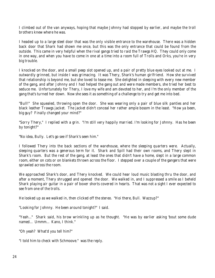I climbed out of the van anyways, hoping that maybe Johnny had stopped by earlier, and maybe the troll brothers knew where he was.

I headed up to a large steel door that was the only visible entrance to the warehouse. There was a hidden back door that Shark had shown me once, but this was the only entrance that could be found from the outside. This came in very helpful when the rival gangs tried to raid the Trawgs HQ. They could only come in one way, and when you have to come in one at a time into a room full of Trolls and Orks, you're in very big trouble.

I knocked on the door, and a small peep slot opened up, and a pair of pretty blue eyes looked out at me. I outwardly grinned, but inside I was grimacing. It was Thery, Shark's human girlfriend. How she survived that relationship is beyond me, but she loved to tease me. She delighted in sleeping with every new member of the gang, and after Johnny and I had helped the gang out and were made members, she tried her best to seduce me. Unfortunately for Thery, I love my wife and am devoted to her, and I'm the only member of the gang that's turned her down. Now she sees it as something of a challenge to try and get me into bed.

"Bull!" She squealed, throwing open the door. She was wearing only a pair of blue silk panties and her black leather Trawgs jacket. The jacket didn't conceal her rather ample bosom in the least. "How ya been, big guy? Finally changed your mind?"

"Sorry Thery," I replied with a grin. "I'm still very happily married. I'm looking for Johnny. Has he been by tonight?"

"No idea, Bully. Let's go see if Shark's seen him."

I followed Thery into the back sections of the warehouse, where the sleeping quarters were. Actually, sleeping quarters was a generous term for it. Shark and Spill had their own rooms, and Thery slept in Shark's room. But the rest of the gang, at least the ones that didn't have a home, slept in a large common room, either on cots or on blankets thrown across the floor. I stepped over a couple of the gangers that were sprawled across the room.

We approached Shark's door, and Thery knocked. We could hear loud music blasting thru the door, and after a moment, Thery shrugged and opened the door. We walked in, and I suppressed a smile as I beheld Shark playing air guitar in a pair of boxer shorts covered in hearts. That was not a sight I ever expected to see from one of the trolls.

He looked up as we walked in, then clicked off the stereo. "Hoi there, Bull. Wazzup?"

"Looking for Johnny. He been around tonight?" I said.

"Yeah..." Shark said, his brow wrinkling up as he thought. "He was by earlier asking 'bout some dude named... Ummm... Kano, I think."

"Oh yeah? What'd you tell him?"

"I told him to check with Schmoove." was the reply.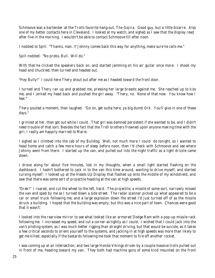Schmoove was a bartender at the Trolls favorite hang-out, The Gojira. Good guy, but a little bizarre. Also one of my better contacts here in Cleveland. I looked at my watch, and sighed as I saw that the display read after five in the morning. I wouldn't be able to contact Schmoove till after noon.

I nodded to Spill. "Thanks, man. If Johnny comes back this way for anything, make sure he calls me."

Spill nodded. "No probs, Bull. Will do."

With that he clicked the speakers back on, and started jamming on his air guitar once more. I shook my head and chuckled, then turned and headed out.

"Hey Bully!" I could here Thery shout out after me as I headed toward the front door.

I turned and Thery ran up and grabbed me, pressing her large breasts against me. She reached up to kiss me, and I jerked my head back and pushed the girl away. "Thery, no. None of that now. You know how I feel."

Thery pouted a moment, then laughed. "Go on, get outta here, ya big dumb Ork. You'll give in one of these days."

I grinned at her, then got out while I could. That girl was damned persistent if she wanted to be, and I didn't need trouble of that sort. Besides the fact that the Troll brothers frowned upon anyone making time with the girl, I really am happily married to Marie.

I sighed as I climbed into the cab of my Bulldog. Well, not much more I could do tonight, so I wanted to head home and catch a few more hours of sleep before noon, then I'd check with Schmoove and see where Johnny went from there. I started up the van, and pulled out into the night traffic as a light drizzle came down.

I drove along for about five minutes, lost in my thoughts, when a small light started flashing on the dashboard. I hadn't bothered to jack in to the van this time around, wanting to drive myself, and started cursing myself. I looked up at the Heads Up Display that flashed up onto the middle of my windshield, and saw that there was some sort of projectile heading at the van at high speeds.

"Drek!" I roared, and cut the wheel to the left, hard. The projectile, a missile of some sort, narrowly missed the van and sped by me as I turned down a side street. The radar scanner picked up what appeared to be a car or small truck following me, and a large explosion down the street I'd just turned off of as the missile struck a building. I hoped that the building was empty, but this was a nice part of town. Chances were good that it wasn't.

I looked into the rearview mirror to see what looked like an armored Dodge Ram with a pop-up missile rack following me. I increased my speed, and cut a corner as tightly as I could. I wished that I could jack into the van's piloting system, as I was much better rigging than straight driving, but that would be suicide, as it takes a few critical seconds to orient yourself to the systems, and jacking in at high speeds was more than likely to get me killed, especially if the bastards following me took that moment to fire off another rocket.

I was coming up at an intersection, and two large Honda Vikings driven by a couple massive trolls pulled out in front of me, heading toward my van. They both had machine guns of some kind mounted on the front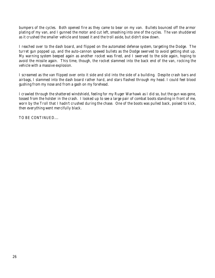bumpers of the cycles. Both opened fire as they came to bear on my van. Bullets bounced off the armor plating of my van, and I gunned the motor and cut left, smashing into one of the cycles. The van shuddered as it crushed the smaller vehicle and tossed it and the troll aside, but didn't slow down.

I reached over to the dash board, and flipped on the automated defense system, targeting the Dodge. The turret gun popped up, and the auto-cannon spewed bullets as the Dodge swerved to avoid getting shot up. My warning system beeped again as another rocket was fired, and I swerved to the side again, hoping to avoid the missile again. This time, though, the rocket slammed into the back end of the van, rocking the vehicle with a massive explosion.

I screamed as the van flipped over onto it side and slid into the side of a building. Despite crash bars and airbags, I slammed into the dash board rather hard, and stars flashed through my head. I could feel blood gushing from my nose and from a gash on my forehead.

I crawled through the shattered windshield, feeling for my Ruger Warhawk as I did so, but the gun was gone, tossed from the holster in the crash. I looked up to see a large pair of combat boots standing in front of me, worn by the Troll that I hadn't crushed during the chase. One of the boots was pulled back, poised to kick, then everything went mercifully black.

TO BE CONTINUED....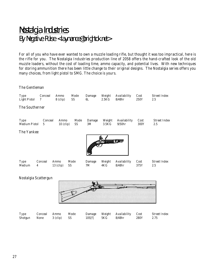# Nostalgia Industries By Negative Pulse <laymance@brightok.net>

For all of you who have ever wanted to own a muzzle loading rifle, but thought it was too impractical, here is the rifle for you. The Nostalgia Industries production line of 2058 offers the hand-crafted look of the old muzzle loaders, without the cost of loading time, ammo capacity, and potential lives. With new techniques for storing ammunition there has been little change to their original designs. The Nostalgia series offers you many choices, from light pistol to SMG. The choice is yours.

The Gentleman

| Type<br><b>Light Pistol</b>         | Conceal<br>7 | Ammo<br>$8$ (clip)      | Mode<br>SS        | Damage<br>6L | Weight<br>2.5KG              | Availability<br>$8/48$ hr          | Cost<br>250Y | <b>Street Index</b><br>2.5 |  |  |
|-------------------------------------|--------------|-------------------------|-------------------|--------------|------------------------------|------------------------------------|--------------|----------------------------|--|--|
| The Southerner                      |              |                         |                   |              |                              |                                    |              |                            |  |  |
| <b>Type</b><br><b>Medium Pistol</b> | Conceal<br>5 | Ammo<br>$10$ (clip)     | Mode<br><b>SS</b> | Damage<br>3M | Weight<br>3.5 <sub>K</sub> G | Availability<br>9/50 <sub>hr</sub> | Cost<br>300Y | <b>Street Index</b><br>2.5 |  |  |
| The Yankee                          |              |                         |                   |              |                              |                                    |              |                            |  |  |
| <b>Type</b><br>Medium               | Conceal<br>4 | Ammo<br>SS<br>13 (clip) | Mode              | Damage<br>7M | Weight<br>4KG                | Availability<br>$8/48$ hr          | Cost<br>375Y | <b>Street Index</b><br>2.5 |  |  |

#### Nostalgia Scattergun



| Type<br>Shotgun None 3 (clip) SS |  | Conceal Ammo | Mode | $10S[f]$ 5KG |  | Damage Weight Availability Cost<br>8/48hr | 280Y | Street Index<br>2.75 |
|----------------------------------|--|--------------|------|--------------|--|-------------------------------------------|------|----------------------|
|----------------------------------|--|--------------|------|--------------|--|-------------------------------------------|------|----------------------|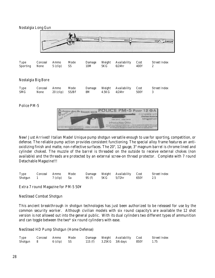



New! Just Arrived! Italian Made! Unique pump shotgun versatile enough to use for sporting, competition, or defense. The reliable pump action provides consistent functioning. The special alloy frame features an antioxidizing finish and matte, non-reflective surfaces. The 20", 12 gauge, 3" magnum barrel is chrome lined and cylinder choked. The muzzle of the barrel is threaded on the outside to receive external chokes (non available) and the threads are protected by an external screw-on thread protector. Complete with 7 round Detachable Magazine!!!

| Type      | Conceal Ammo |             | Mode |        |       | Damage Weight Availability Cost |      | Street Index |
|-----------|--------------|-------------|------|--------|-------|---------------------------------|------|--------------|
| Shotgun 1 |              | 7 (clip) Sa |      | 9S (f) | 5 K G | $5/72$ hr                       | 650Y |              |

Extra 7 round Magazine for PM-5 50¥

NeoStead Combat Shotgun

This ancient breakthrough in shotgun technologies has just been authorized to be released for use by the common security worker. Although civilian models with six round capacity's are available the 12 shot version is not allowed out into the general public. With its dual cylinders two different types of ammunition and can toggle between the two\* six round cylinders with ease.

NeoStead HD Pump Shotgun (Home Defense)

| Type      | Conceal Ammo |             | Mode |                             | Damage Weight Availability Cost |      | Street Index |
|-----------|--------------|-------------|------|-----------------------------|---------------------------------|------|--------------|
| Shotgun 8 |              | 6 (clip) SS |      | 11S (f) $3.25KG$ $3/6$ days |                                 | 850Y | 1.75         |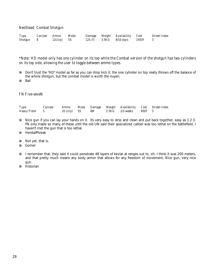NeoStead Combat Shotgun

| Type      | Conceal Ammo |                       | Mode |                                      | Damage Weight Availability Cost |       | Street Index |
|-----------|--------------|-----------------------|------|--------------------------------------|---------------------------------|-------|--------------|
| Shotgun 8 |              | $12 \times (clip)$ SS |      | $12S(f)$ $3.5KG$ $8/10 \text{ days}$ |                                 | 1450Y |              |

\*Note: HD model only has one cylinder on its top while the Combat version of the shotgun has two cylinders on its top side, allowing the user to toggle between ammo types.

⊗ Don't trust the "HD" model as far as you can drop kick it, the one cylinder on top really throws off the balance of the whole shotgun, but the combat model is worth the nuyen.

⊗ Bali

FN Five-seveN

| Type           |                        |    | Conceal Ammo Mode Damage Weight Availability Cost Street Index |  |
|----------------|------------------------|----|----------------------------------------------------------------|--|
| Heavy Pistol 5 | $20 \text{ (clip)}$ SS | 8M | 2.5KG 2/3 weeks 800Y 3                                         |  |

- ⊗ Nice gun if you can lay your hands on it. Its very easy to strip and clean and put back together, easy as 1.2.3. FN only made so many of these until the old UN said their specialized caliber was too lethal on the battlefield, I haven't met the gun that is too lethal.
- ⊗ HerstalPhreak
- ⊗ Not yet, that is.
- ⊗ Gomer
- ⊗ I remember that, they said it could penetrate 48 layers of kevlar at ranges out to, oh, I think it was 200 meters, and that pretty much means any body armor that allows for any freedom of movement, Nice gun, very nice gun.
- ⊗ Historian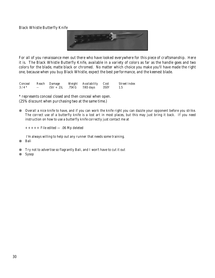Black Whistle Butterfly Knife



For all of you renaissance men out there who have looked everywhere for this piece of craftsmanship. Here it is. The Black Whistle Butterfly Knife, available in a variety of colors as far as the handle goes and two colors for the blade, matte black or chromed. No matter which choice you make you'll have made the right one, because when you buy Black Whistle, expect the best performance, and the keenest blade.

|        |      | Conceal Reach Damage | Weight Availability Cost     |      | Street Index |
|--------|------|----------------------|------------------------------|------|--------------|
| $3/4*$ | $ -$ |                      | $(Str + 2)L$ .75KG 7/65 days | 350Y |              |

\* represents conceal closed and then conceal when open. (25% discount when purchasing two at the same time.)

⊗ Overall a nice knife to have, and if you can work the knife right you can dazzle your opponent before you strike. The correct use of a butterfly knife is a lost art in most places, but this may just bring it back. If you need instruction on how to use a butterfly knife correctly just contact me at

 $+++++$  File edited  $- .06$  Mp deleted

I'm always willing to help out any runner that needs some training.

- ⊗ Bali
- ⊗ Try not to advertise so flagrantly Bali, and I won't have to cut it out
- ⊗ Sysop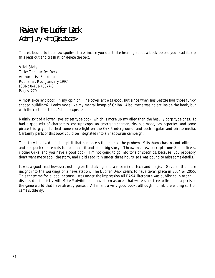# Review: The Lucifer Deck Adam Jury <fro@lis.ab.ca>

There's bound to be a few spoilers here, incase you don't like hearing about a book before you read it, rip this page out and trash it, or delete the text.

Vital Stats: *Title*: The Lucifer Deck *Author*: Lisa Smedman *Publisher*: Roc, January 1997 *ISBN*: 0-451-45377-8 *Pages: 279*

A most excellent book, in my opinion. The cover art was good, but since when has Seattle had those funky shaped buildings? Looks more like my mental image of Chiba. Also, there was no art inside the book, but with the cost of art, that's to be expected.

Mainly sort of a lower level street type book, which is more up my alley than the heavily corp type ones. It had a good mix of characters, corrupt cops, an emerging shaman, devious mage, gay reporter, and some pirate trid guys. It shed some more light on the Ork Underground, and both regular and pirate media. Certainly parts of this book could be integrated into a Shadowrun campaign.

The story involved a 'light' spirit that can access the matrix, the probems Mitsuhama has in controlling it, and a reporters attempts to document it and air a big story. Throw in a few corrupt Lone Star officers, rioting Orks, and you have a good book. I'm not going to go into tons of specifics, because you probably don't want me to spoil the story, and I did read it in under three hours, so I was bound to miss some details.

It was a good read however, nothing earth shaking, and a nice mix of tech and magic. Gave a little more insight into the workings of a news station. The Lucifer Deck seems to have taken place in 2054 or 2055. This threw me for a loop, because I was under the impression all FASA literature was published in order. I discussed this briefly with Mike Mulvihill, and have been assured that writers are free to flesh out aspects of the game world that have already passed. All in all, a very good book, although I think the ending sort of came suddenly.